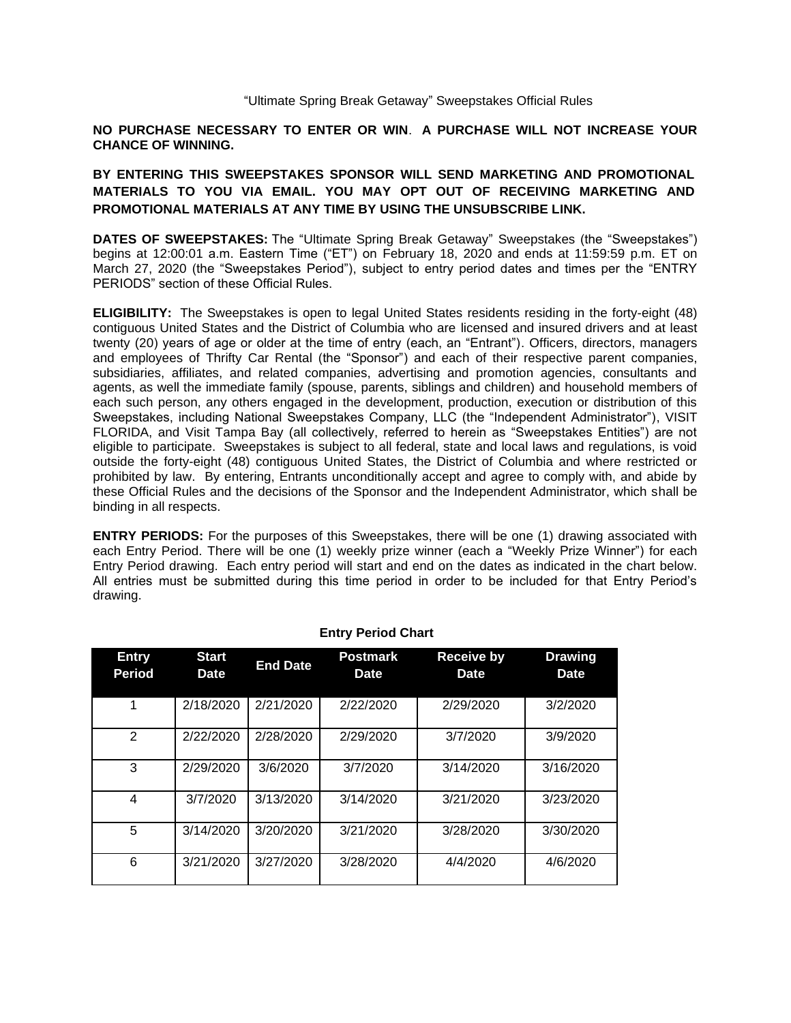"Ultimate Spring Break Getaway" Sweepstakes Official Rules

**NO PURCHASE NECESSARY TO ENTER OR WIN**. **A PURCHASE WILL NOT INCREASE YOUR CHANCE OF WINNING.**

**BY ENTERING THIS SWEEPSTAKES SPONSOR WILL SEND MARKETING AND PROMOTIONAL MATERIALS TO YOU VIA EMAIL. YOU MAY OPT OUT OF RECEIVING MARKETING AND PROMOTIONAL MATERIALS AT ANY TIME BY USING THE UNSUBSCRIBE LINK.**

**DATES OF SWEEPSTAKES:** The "Ultimate Spring Break Getaway" Sweepstakes (the "Sweepstakes") begins at 12:00:01 a.m. Eastern Time ("ET") on February 18, 2020 and ends at 11:59:59 p.m. ET on March 27, 2020 (the "Sweepstakes Period"), subject to entry period dates and times per the "ENTRY PERIODS" section of these Official Rules.

**ELIGIBILITY:** The Sweepstakes is open to legal United States residents residing in the forty-eight (48) contiguous United States and the District of Columbia who are licensed and insured drivers and at least twenty (20) years of age or older at the time of entry (each, an "Entrant"). Officers, directors, managers and employees of Thrifty Car Rental (the "Sponsor") and each of their respective parent companies, subsidiaries, affiliates, and related companies, advertising and promotion agencies, consultants and agents, as well the immediate family (spouse, parents, siblings and children) and household members of each such person, any others engaged in the development, production, execution or distribution of this Sweepstakes, including National Sweepstakes Company, LLC (the "Independent Administrator"), VISIT FLORIDA, and Visit Tampa Bay (all collectively, referred to herein as "Sweepstakes Entities") are not eligible to participate. Sweepstakes is subject to all federal, state and local laws and regulations, is void outside the forty-eight (48) contiguous United States, the District of Columbia and where restricted or prohibited by law. By entering, Entrants unconditionally accept and agree to comply with, and abide by these Official Rules and the decisions of the Sponsor and the Independent Administrator, which shall be binding in all respects.

**ENTRY PERIODS:** For the purposes of this Sweepstakes, there will be one (1) drawing associated with each Entry Period. There will be one (1) weekly prize winner (each a "Weekly Prize Winner") for each Entry Period drawing. Each entry period will start and end on the dates as indicated in the chart below. All entries must be submitted during this time period in order to be included for that Entry Period's drawing.

| <b>Entry</b><br><b>Period</b> | <b>Start</b><br>Date. | <b>End Date</b> | <b>Postmark</b><br><b>Date</b> | <b>Receive by</b><br><b>Date</b> | <b>Drawing</b><br>Date. |
|-------------------------------|-----------------------|-----------------|--------------------------------|----------------------------------|-------------------------|
|                               | 2/18/2020             | 2/21/2020       | 2/22/2020                      | 2/29/2020                        | 3/2/2020                |
| $\mathcal{P}$                 | 2/22/2020             | 2/28/2020       | 2/29/2020                      | 3/7/2020                         | 3/9/2020                |
| 3                             | 2/29/2020             | 3/6/2020        | 3/7/2020                       | 3/14/2020                        | 3/16/2020               |
| 4                             | 3/7/2020              | 3/13/2020       | 3/14/2020                      | 3/21/2020                        | 3/23/2020               |
| 5                             | 3/14/2020             | 3/20/2020       | 3/21/2020                      | 3/28/2020                        | 3/30/2020               |
| 6                             | 3/21/2020             | 3/27/2020       | 3/28/2020                      | 4/4/2020                         | 4/6/2020                |

## **Entry Period Chart**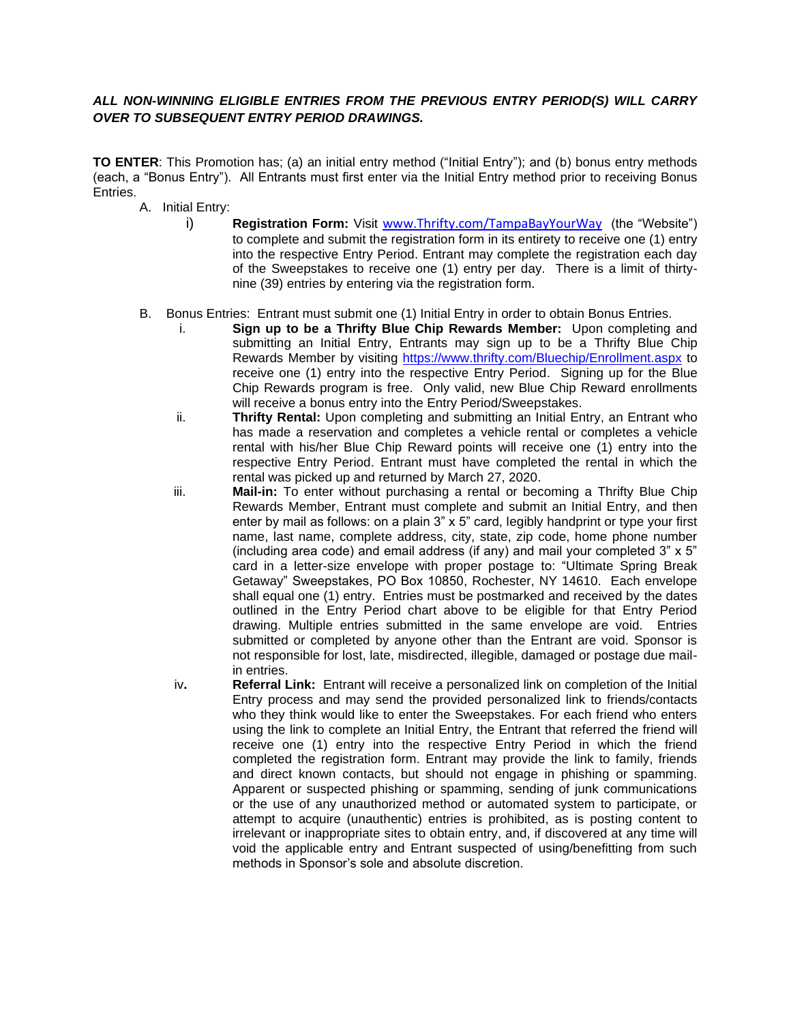## *ALL NON-WINNING ELIGIBLE ENTRIES FROM THE PREVIOUS ENTRY PERIOD(S) WILL CARRY OVER TO SUBSEQUENT ENTRY PERIOD DRAWINGS.*

**TO ENTER:** This Promotion has; (a) an initial entry method ("Initial Entry"); and (b) bonus entry methods (each, a "Bonus Entry"). All Entrants must first enter via the Initial Entry method prior to receiving Bonus Entries.

- A. Initial Entry:
	- i) **Registration Form:** Visit [www.Thrifty.com/TampaBayYourWay](http://www.thrifty.com/TampaBayYourWay) (the "Website") to complete and submit the registration form in its entirety to receive one (1) entry into the respective Entry Period. Entrant may complete the registration each day of the Sweepstakes to receive one (1) entry per day. There is a limit of thirtynine (39) entries by entering via the registration form.
- B. Bonus Entries: Entrant must submit one (1) Initial Entry in order to obtain Bonus Entries.
	- i. **Sign up to be a Thrifty Blue Chip Rewards Member:** Upon completing and submitting an Initial Entry, Entrants may sign up to be a Thrifty Blue Chip Rewards Member by visiting<https://www.thrifty.com/Bluechip/Enrollment.aspx> to receive one (1) entry into the respective Entry Period. Signing up for the Blue Chip Rewards program is free. Only valid, new Blue Chip Reward enrollments will receive a bonus entry into the Entry Period/Sweepstakes.
	- ii. **Thrifty Rental:** Upon completing and submitting an Initial Entry, an Entrant who has made a reservation and completes a vehicle rental or completes a vehicle rental with his/her Blue Chip Reward points will receive one (1) entry into the respective Entry Period. Entrant must have completed the rental in which the rental was picked up and returned by March 27, 2020.
	- iii. **Mail-in:** To enter without purchasing a rental or becoming a Thrifty Blue Chip Rewards Member, Entrant must complete and submit an Initial Entry, and then enter by mail as follows: on a plain 3" x 5" card, legibly handprint or type your first name, last name, complete address, city, state, zip code, home phone number (including area code) and email address (if any) and mail your completed 3" x 5" card in a letter-size envelope with proper postage to: "Ultimate Spring Break Getaway" Sweepstakes, PO Box 10850, Rochester, NY 14610. Each envelope shall equal one (1) entry. Entries must be postmarked and received by the dates outlined in the Entry Period chart above to be eligible for that Entry Period drawing. Multiple entries submitted in the same envelope are void. Entries submitted or completed by anyone other than the Entrant are void. Sponsor is not responsible for lost, late, misdirected, illegible, damaged or postage due mailin entries.
	- iv**. Referral Link:** Entrant will receive a personalized link on completion of the Initial Entry process and may send the provided personalized link to friends/contacts who they think would like to enter the Sweepstakes. For each friend who enters using the link to complete an Initial Entry, the Entrant that referred the friend will receive one (1) entry into the respective Entry Period in which the friend completed the registration form. Entrant may provide the link to family, friends and direct known contacts, but should not engage in phishing or spamming. Apparent or suspected phishing or spamming, sending of junk communications or the use of any unauthorized method or automated system to participate, or attempt to acquire (unauthentic) entries is prohibited, as is posting content to irrelevant or inappropriate sites to obtain entry, and, if discovered at any time will void the applicable entry and Entrant suspected of using/benefitting from such methods in Sponsor's sole and absolute discretion.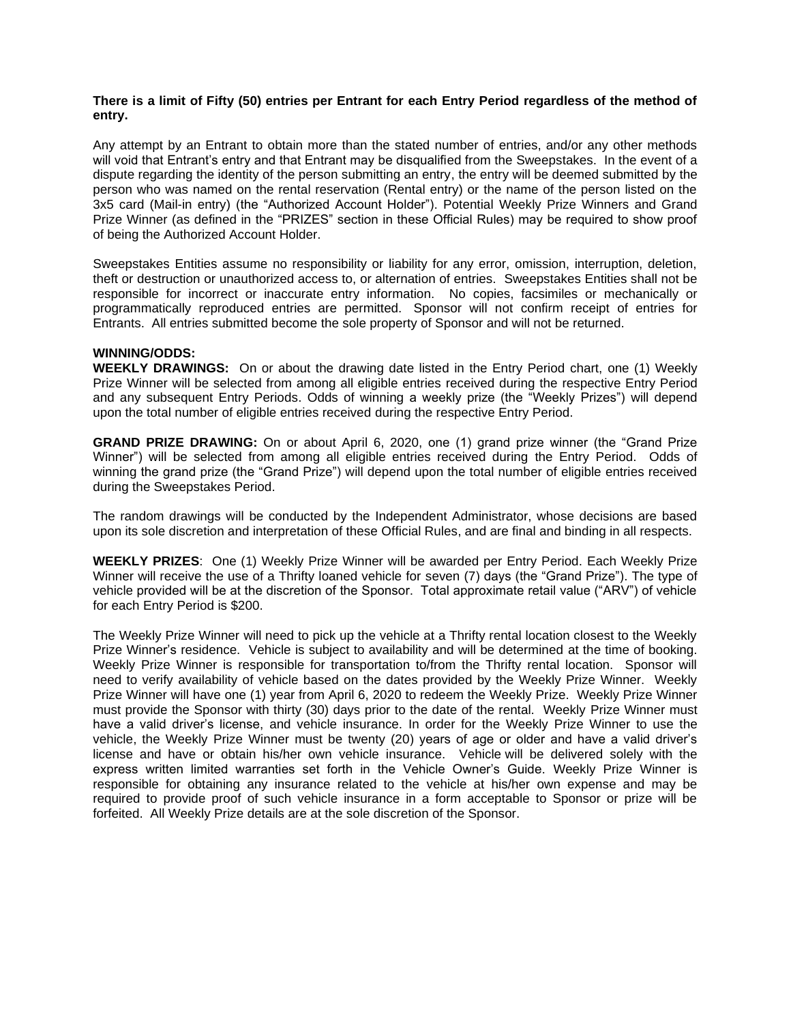## **There is a limit of Fifty (50) entries per Entrant for each Entry Period regardless of the method of entry.**

Any attempt by an Entrant to obtain more than the stated number of entries, and/or any other methods will void that Entrant's entry and that Entrant may be disqualified from the Sweepstakes. In the event of a dispute regarding the identity of the person submitting an entry, the entry will be deemed submitted by the person who was named on the rental reservation (Rental entry) or the name of the person listed on the 3x5 card (Mail-in entry) (the "Authorized Account Holder"). Potential Weekly Prize Winners and Grand Prize Winner (as defined in the "PRIZES" section in these Official Rules) may be required to show proof of being the Authorized Account Holder.

Sweepstakes Entities assume no responsibility or liability for any error, omission, interruption, deletion, theft or destruction or unauthorized access to, or alternation of entries. Sweepstakes Entities shall not be responsible for incorrect or inaccurate entry information. No copies, facsimiles or mechanically or programmatically reproduced entries are permitted. Sponsor will not confirm receipt of entries for Entrants. All entries submitted become the sole property of Sponsor and will not be returned.

## **WINNING/ODDS:**

**WEEKLY DRAWINGS:** On or about the drawing date listed in the Entry Period chart, one (1) Weekly Prize Winner will be selected from among all eligible entries received during the respective Entry Period and any subsequent Entry Periods. Odds of winning a weekly prize (the "Weekly Prizes") will depend upon the total number of eligible entries received during the respective Entry Period.

**GRAND PRIZE DRAWING:** On or about April 6, 2020, one (1) grand prize winner (the "Grand Prize Winner") will be selected from among all eligible entries received during the Entry Period. Odds of winning the grand prize (the "Grand Prize") will depend upon the total number of eligible entries received during the Sweepstakes Period.

The random drawings will be conducted by the Independent Administrator, whose decisions are based upon its sole discretion and interpretation of these Official Rules, and are final and binding in all respects.

**WEEKLY PRIZES**: One (1) Weekly Prize Winner will be awarded per Entry Period. Each Weekly Prize Winner will receive the use of a Thrifty loaned vehicle for seven (7) days (the "Grand Prize"). The type of vehicle provided will be at the discretion of the Sponsor. Total approximate retail value ("ARV") of vehicle for each Entry Period is \$200.

The Weekly Prize Winner will need to pick up the vehicle at a Thrifty rental location closest to the Weekly Prize Winner's residence. Vehicle is subject to availability and will be determined at the time of booking. Weekly Prize Winner is responsible for transportation to/from the Thrifty rental location. Sponsor will need to verify availability of vehicle based on the dates provided by the Weekly Prize Winner. Weekly Prize Winner will have one (1) year from April 6, 2020 to redeem the Weekly Prize. Weekly Prize Winner must provide the Sponsor with thirty (30) days prior to the date of the rental. Weekly Prize Winner must have a valid driver's license, and vehicle insurance. In order for the Weekly Prize Winner to use the vehicle, the Weekly Prize Winner must be twenty (20) years of age or older and have a valid driver's license and have or obtain his/her own vehicle insurance. Vehicle will be delivered solely with the express written limited warranties set forth in the Vehicle Owner's Guide. Weekly Prize Winner is responsible for obtaining any insurance related to the vehicle at his/her own expense and may be required to provide proof of such vehicle insurance in a form acceptable to Sponsor or prize will be forfeited. All Weekly Prize details are at the sole discretion of the Sponsor.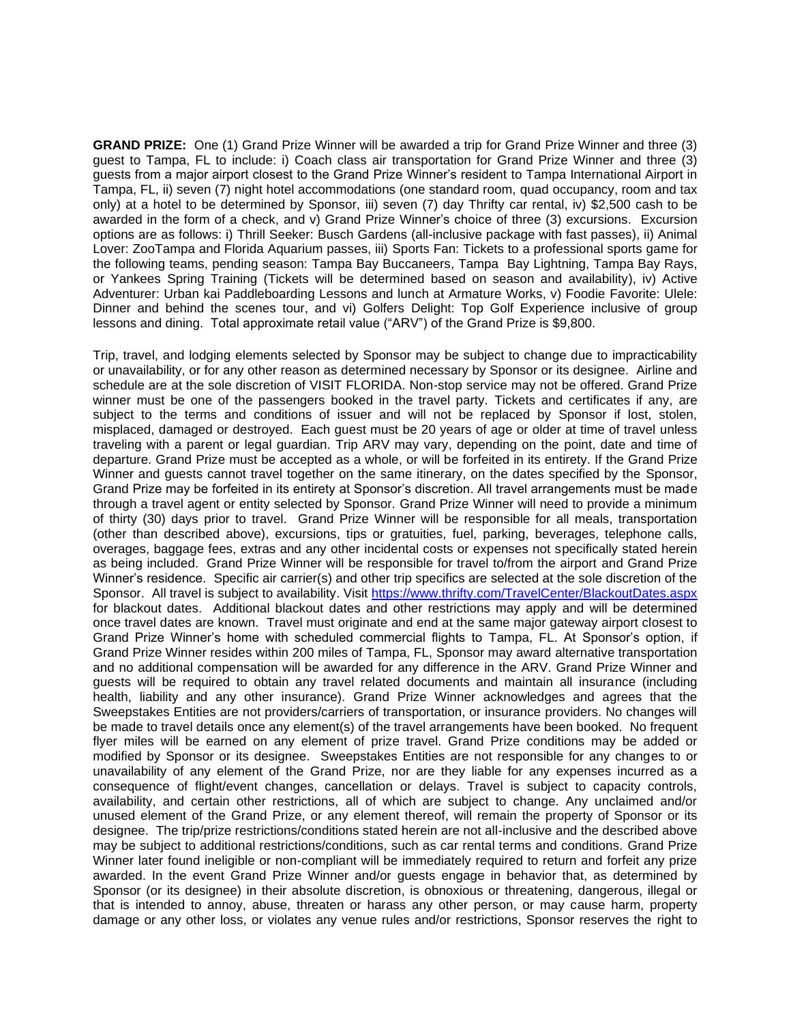**GRAND PRIZE:** One (1) Grand Prize Winner will be awarded a trip for Grand Prize Winner and three (3) guest to Tampa, FL to include: i) Coach class air transportation for Grand Prize Winner and three (3) guests from a major airport closest to the Grand Prize Winner's resident to Tampa International Airport in Tampa, FL, ii) seven (7) night hotel accommodations (one standard room, quad occupancy, room and tax only) at a hotel to be determined by Sponsor, iii) seven (7) day Thrifty car rental, iv) \$2,500 cash to be awarded in the form of a check, and v) Grand Prize Winner's choice of three (3) excursions. Excursion options are as follows: i) Thrill Seeker: Busch Gardens (all-inclusive package with fast passes), ii) Animal Lover: ZooTampa and Florida Aquarium passes, iii) Sports Fan: Tickets to a professional sports game for the following teams, pending season: Tampa Bay Buccaneers, Tampa Bay Lightning, Tampa Bay Rays, or Yankees Spring Training (Tickets will be determined based on season and availability), iv) Active Adventurer: Urban kai Paddleboarding Lessons and lunch at Armature Works, v) Foodie Favorite: Ulele: Dinner and behind the scenes tour, and vi) Golfers Delight: Top Golf Experience inclusive of group lessons and dining. Total approximate retail value ("ARV") of the Grand Prize is \$9,800.

Trip, travel, and lodging elements selected by Sponsor may be subject to change due to impracticability or unavailability, or for any other reason as determined necessary by Sponsor or its designee. Airline and schedule are at the sole discretion of VISIT FLORIDA. Non-stop service may not be offered. Grand Prize winner must be one of the passengers booked in the travel party. Tickets and certificates if any, are subject to the terms and conditions of issuer and will not be replaced by Sponsor if lost, stolen, misplaced, damaged or destroyed. Each guest must be 20 years of age or older at time of travel unless traveling with a parent or legal guardian. Trip ARV may vary, depending on the point, date and time of departure. Grand Prize must be accepted as a whole, or will be forfeited in its entirety. If the Grand Prize Winner and guests cannot travel together on the same itinerary, on the dates specified by the Sponsor, Grand Prize may be forfeited in its entirety at Sponsor's discretion. All travel arrangements must be made through a travel agent or entity selected by Sponsor. Grand Prize Winner will need to provide a minimum of thirty (30) days prior to travel. Grand Prize Winner will be responsible for all meals, transportation (other than described above), excursions, tips or gratuities, fuel, parking, beverages, telephone calls, overages, baggage fees, extras and any other incidental costs or expenses not specifically stated herein as being included. Grand Prize Winner will be responsible for travel to/from the airport and Grand Prize Winner's residence. Specific air carrier(s) and other trip specifics are selected at the sole discretion of the Sponsor. All travel is subject to availability. Visit<https://www.thrifty.com/TravelCenter/BlackoutDates.aspx> for blackout dates. Additional blackout dates and other restrictions may apply and will be determined once travel dates are known. Travel must originate and end at the same major gateway airport closest to Grand Prize Winner's home with scheduled commercial flights to Tampa, FL. At Sponsor's option, if Grand Prize Winner resides within 200 miles of Tampa, FL, Sponsor may award alternative transportation and no additional compensation will be awarded for any difference in the ARV. Grand Prize Winner and guests will be required to obtain any travel related documents and maintain all insurance (including health, liability and any other insurance). Grand Prize Winner acknowledges and agrees that the Sweepstakes Entities are not providers/carriers of transportation, or insurance providers. No changes will be made to travel details once any element(s) of the travel arrangements have been booked. No frequent flyer miles will be earned on any element of prize travel. Grand Prize conditions may be added or modified by Sponsor or its designee. Sweepstakes Entities are not responsible for any changes to or unavailability of any element of the Grand Prize, nor are they liable for any expenses incurred as a consequence of flight/event changes, cancellation or delays. Travel is subject to capacity controls, availability, and certain other restrictions, all of which are subject to change. Any unclaimed and/or unused element of the Grand Prize, or any element thereof, will remain the property of Sponsor or its designee. The trip/prize restrictions/conditions stated herein are not all-inclusive and the described above may be subject to additional restrictions/conditions, such as car rental terms and conditions. Grand Prize Winner later found ineligible or non-compliant will be immediately required to return and forfeit any prize awarded. In the event Grand Prize Winner and/or guests engage in behavior that, as determined by Sponsor (or its designee) in their absolute discretion, is obnoxious or threatening, dangerous, illegal or that is intended to annoy, abuse, threaten or harass any other person, or may cause harm, property damage or any other loss, or violates any venue rules and/or restrictions, Sponsor reserves the right to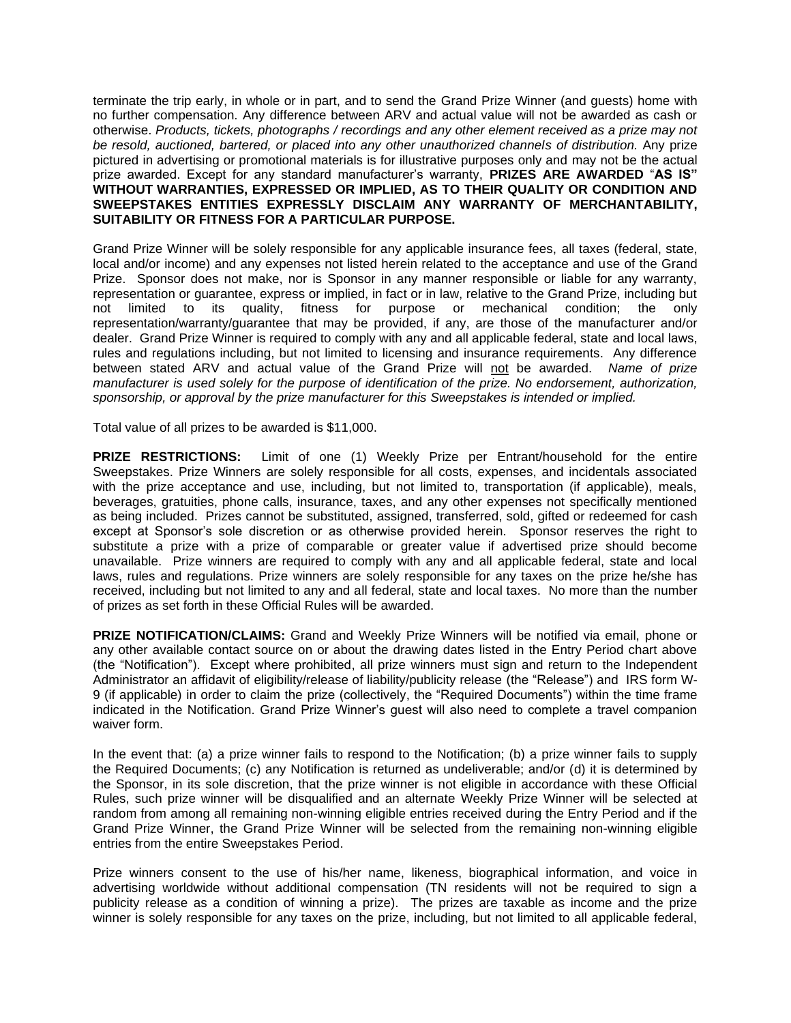terminate the trip early, in whole or in part, and to send the Grand Prize Winner (and guests) home with no further compensation. Any difference between ARV and actual value will not be awarded as cash or otherwise. *Products, tickets, photographs / recordings and any other element received as a prize may not be resold, auctioned, bartered, or placed into any other unauthorized channels of distribution.* Any prize pictured in advertising or promotional materials is for illustrative purposes only and may not be the actual prize awarded. Except for any standard manufacturer's warranty, **PRIZES ARE AWARDED** "**AS IS" WITHOUT WARRANTIES, EXPRESSED OR IMPLIED, AS TO THEIR QUALITY OR CONDITION AND SWEEPSTAKES ENTITIES EXPRESSLY DISCLAIM ANY WARRANTY OF MERCHANTABILITY, SUITABILITY OR FITNESS FOR A PARTICULAR PURPOSE.**

Grand Prize Winner will be solely responsible for any applicable insurance fees, all taxes (federal, state, local and/or income) and any expenses not listed herein related to the acceptance and use of the Grand Prize. Sponsor does not make, nor is Sponsor in any manner responsible or liable for any warranty, representation or guarantee, express or implied, in fact or in law, relative to the Grand Prize, including but not limited to its quality, fitness for purpose or mechanical condition; the only representation/warranty/guarantee that may be provided, if any, are those of the manufacturer and/or dealer. Grand Prize Winner is required to comply with any and all applicable federal, state and local laws, rules and regulations including, but not limited to licensing and insurance requirements. Any difference between stated ARV and actual value of the Grand Prize will not be awarded. *Name of prize manufacturer is used solely for the purpose of identification of the prize. No endorsement, authorization, sponsorship, or approval by the prize manufacturer for this Sweepstakes is intended or implied.* 

Total value of all prizes to be awarded is \$11,000.

**PRIZE RESTRICTIONS:** Limit of one (1) Weekly Prize per Entrant/household for the entire Sweepstakes. Prize Winners are solely responsible for all costs, expenses, and incidentals associated with the prize acceptance and use, including, but not limited to, transportation (if applicable), meals, beverages, gratuities, phone calls, insurance, taxes, and any other expenses not specifically mentioned as being included. Prizes cannot be substituted, assigned, transferred, sold, gifted or redeemed for cash except at Sponsor's sole discretion or as otherwise provided herein. Sponsor reserves the right to substitute a prize with a prize of comparable or greater value if advertised prize should become unavailable. Prize winners are required to comply with any and all applicable federal, state and local laws, rules and regulations. Prize winners are solely responsible for any taxes on the prize he/she has received, including but not limited to any and all federal, state and local taxes. No more than the number of prizes as set forth in these Official Rules will be awarded.

**PRIZE NOTIFICATION/CLAIMS:** Grand and Weekly Prize Winners will be notified via email, phone or any other available contact source on or about the drawing dates listed in the Entry Period chart above (the "Notification"). Except where prohibited, all prize winners must sign and return to the Independent Administrator an affidavit of eligibility/release of liability/publicity release (the "Release") and IRS form W-9 (if applicable) in order to claim the prize (collectively, the "Required Documents") within the time frame indicated in the Notification. Grand Prize Winner's guest will also need to complete a travel companion waiver form.

In the event that: (a) a prize winner fails to respond to the Notification; (b) a prize winner fails to supply the Required Documents; (c) any Notification is returned as undeliverable; and/or (d) it is determined by the Sponsor, in its sole discretion, that the prize winner is not eligible in accordance with these Official Rules, such prize winner will be disqualified and an alternate Weekly Prize Winner will be selected at random from among all remaining non-winning eligible entries received during the Entry Period and if the Grand Prize Winner, the Grand Prize Winner will be selected from the remaining non-winning eligible entries from the entire Sweepstakes Period.

Prize winners consent to the use of his/her name, likeness, biographical information, and voice in advertising worldwide without additional compensation (TN residents will not be required to sign a publicity release as a condition of winning a prize). The prizes are taxable as income and the prize winner is solely responsible for any taxes on the prize, including, but not limited to all applicable federal,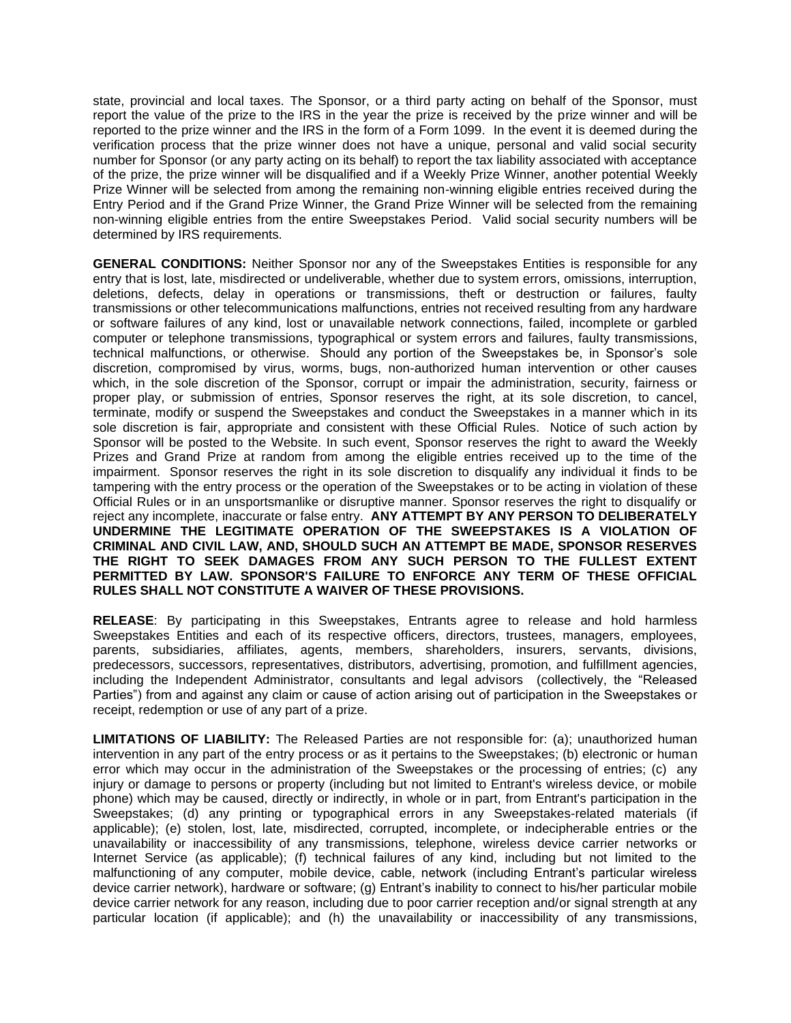state, provincial and local taxes. The Sponsor, or a third party acting on behalf of the Sponsor, must report the value of the prize to the IRS in the year the prize is received by the prize winner and will be reported to the prize winner and the IRS in the form of a Form 1099. In the event it is deemed during the verification process that the prize winner does not have a unique, personal and valid social security number for Sponsor (or any party acting on its behalf) to report the tax liability associated with acceptance of the prize, the prize winner will be disqualified and if a Weekly Prize Winner, another potential Weekly Prize Winner will be selected from among the remaining non-winning eligible entries received during the Entry Period and if the Grand Prize Winner, the Grand Prize Winner will be selected from the remaining non-winning eligible entries from the entire Sweepstakes Period. Valid social security numbers will be determined by IRS requirements.

**GENERAL CONDITIONS:** Neither Sponsor nor any of the Sweepstakes Entities is responsible for any entry that is lost, late, misdirected or undeliverable, whether due to system errors, omissions, interruption, deletions, defects, delay in operations or transmissions, theft or destruction or failures, faulty transmissions or other telecommunications malfunctions, entries not received resulting from any hardware or software failures of any kind, lost or unavailable network connections, failed, incomplete or garbled computer or telephone transmissions, typographical or system errors and failures, faulty transmissions, technical malfunctions, or otherwise. Should any portion of the Sweepstakes be, in Sponsor's sole discretion, compromised by virus, worms, bugs, non-authorized human intervention or other causes which, in the sole discretion of the Sponsor, corrupt or impair the administration, security, fairness or proper play, or submission of entries, Sponsor reserves the right, at its sole discretion, to cancel, terminate, modify or suspend the Sweepstakes and conduct the Sweepstakes in a manner which in its sole discretion is fair, appropriate and consistent with these Official Rules. Notice of such action by Sponsor will be posted to the Website. In such event, Sponsor reserves the right to award the Weekly Prizes and Grand Prize at random from among the eligible entries received up to the time of the impairment. Sponsor reserves the right in its sole discretion to disqualify any individual it finds to be tampering with the entry process or the operation of the Sweepstakes or to be acting in violation of these Official Rules or in an unsportsmanlike or disruptive manner. Sponsor reserves the right to disqualify or reject any incomplete, inaccurate or false entry. **ANY ATTEMPT BY ANY PERSON TO DELIBERATELY UNDERMINE THE LEGITIMATE OPERATION OF THE SWEEPSTAKES IS A VIOLATION OF CRIMINAL AND CIVIL LAW, AND, SHOULD SUCH AN ATTEMPT BE MADE, SPONSOR RESERVES THE RIGHT TO SEEK DAMAGES FROM ANY SUCH PERSON TO THE FULLEST EXTENT PERMITTED BY LAW. SPONSOR'S FAILURE TO ENFORCE ANY TERM OF THESE OFFICIAL RULES SHALL NOT CONSTITUTE A WAIVER OF THESE PROVISIONS.**

**RELEASE**: By participating in this Sweepstakes, Entrants agree to release and hold harmless Sweepstakes Entities and each of its respective officers, directors, trustees, managers, employees, parents, subsidiaries, affiliates, agents, members, shareholders, insurers, servants, divisions, predecessors, successors, representatives, distributors, advertising, promotion, and fulfillment agencies, including the Independent Administrator, consultants and legal advisors (collectively, the "Released Parties") from and against any claim or cause of action arising out of participation in the Sweepstakes or receipt, redemption or use of any part of a prize.

**LIMITATIONS OF LIABILITY:** The Released Parties are not responsible for: (a); unauthorized human intervention in any part of the entry process or as it pertains to the Sweepstakes; (b) electronic or human error which may occur in the administration of the Sweepstakes or the processing of entries; (c) any injury or damage to persons or property (including but not limited to Entrant's wireless device, or mobile phone) which may be caused, directly or indirectly, in whole or in part, from Entrant's participation in the Sweepstakes; (d) any printing or typographical errors in any Sweepstakes-related materials (if applicable); (e) stolen, lost, late, misdirected, corrupted, incomplete, or indecipherable entries or the unavailability or inaccessibility of any transmissions, telephone, wireless device carrier networks or Internet Service (as applicable); (f) technical failures of any kind, including but not limited to the malfunctioning of any computer, mobile device, cable, network (including Entrant's particular wireless device carrier network), hardware or software; (g) Entrant's inability to connect to his/her particular mobile device carrier network for any reason, including due to poor carrier reception and/or signal strength at any particular location (if applicable); and (h) the unavailability or inaccessibility of any transmissions,